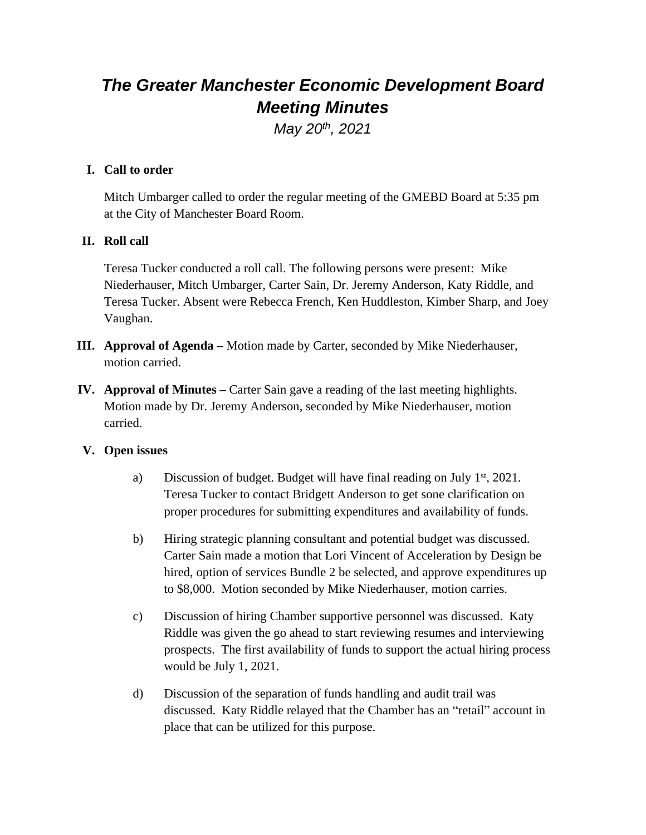# *The Greater Manchester Economic Development Board Meeting Minutes*

*May 20th, 2021*

## **I. Call to order**

Mitch Umbarger called to order the regular meeting of the GMEBD Board at 5:35 pm at the City of Manchester Board Room.

## **II. Roll call**

Teresa Tucker conducted a roll call. The following persons were present: Mike Niederhauser, Mitch Umbarger, Carter Sain, Dr. Jeremy Anderson, Katy Riddle, and Teresa Tucker. Absent were Rebecca French, Ken Huddleston, Kimber Sharp, and Joey Vaughan.

- **III. Approval of Agenda –** Motion made by Carter, seconded by Mike Niederhauser, motion carried.
- **IV. Approval of Minutes** Carter Sain gave a reading of the last meeting highlights. Motion made by Dr. Jeremy Anderson, seconded by Mike Niederhauser, motion carried.

#### **V. Open issues**

- a) Discussion of budget. Budget will have final reading on July  $1<sup>st</sup>$ , 2021. Teresa Tucker to contact Bridgett Anderson to get sone clarification on proper procedures for submitting expenditures and availability of funds.
- b) Hiring strategic planning consultant and potential budget was discussed. Carter Sain made a motion that Lori Vincent of Acceleration by Design be hired, option of services Bundle 2 be selected, and approve expenditures up to \$8,000. Motion seconded by Mike Niederhauser, motion carries.
- c) Discussion of hiring Chamber supportive personnel was discussed. Katy Riddle was given the go ahead to start reviewing resumes and interviewing prospects. The first availability of funds to support the actual hiring process would be July 1, 2021.
- d) Discussion of the separation of funds handling and audit trail was discussed. Katy Riddle relayed that the Chamber has an "retail" account in place that can be utilized for this purpose.